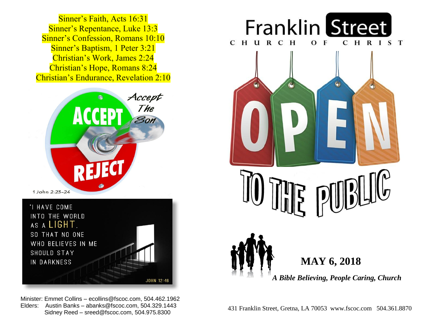Sinner's Repentance, Luke 13:3  Sinner's Confession, Romans 10:10  Sinner's Baptism, 1 Peter 3:21  Christian's Work, James 2:24  Christian's Hope, Romans 8:24  Christian's Endurance, Revelation 2:10 Sinner's Faith, Acts 16:31





 Minister: Emmet Collins – ecollins@fscoc.com, 504.462.1962 Sidney Reed - sreed@fscoc.com, 504.975.8300  Sidney Reed – sreed@fscoc.com, 504.975.8300431 Franklin Street, Gretna, LA 70053 www.fscoc.com 504.361.8870 Elders: Austin Banks – abanks@fscoc.com, 504.329.1443